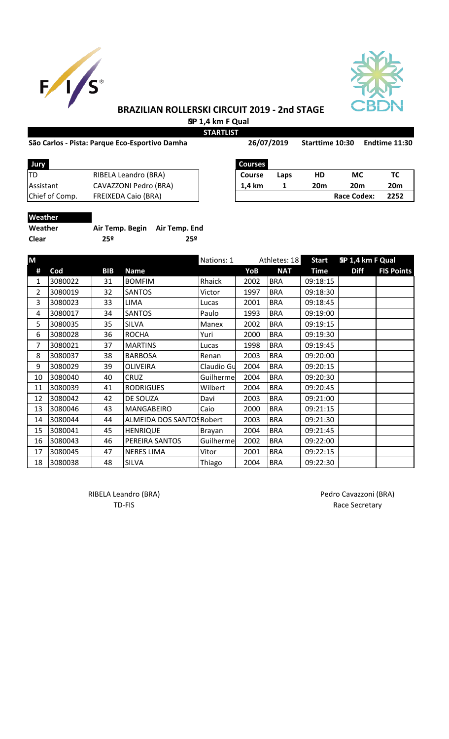



## **BRAZILIAN ROLLERSKI CIRCUIT 2019 - 2nd STAGE SP 1,4 km F Qual**

**STARTLIST**

### São Carlos - Pista: Parque Eco-Esportivo Damha **Sanda 26/07/2019** Starttime 10:30 Endtime 11:30

| Jury             |                            | <b>Courses</b> |      |     |                 |     |
|------------------|----------------------------|----------------|------|-----|-----------------|-----|
| ltd              | RIBELA Leandro (BRA)       | <b>Course</b>  | Laps | HD  | МC              | тс  |
| <b>Assistant</b> | CAVAZZONI Pedro (BRA)      | 1.4 km         |      | 20m | 20 <sub>m</sub> | 20n |
| Chief of Comp.   | <b>FREIXEDA Caio (BRA)</b> |                |      |     | Race Codex:     | 225 |

| Jury           |                       | Courses |      |     |                 |      |
|----------------|-----------------------|---------|------|-----|-----------------|------|
|                | RIBELA Leandro (BRA)  | Course  | Laps | HD  | МC              |      |
| Assistant      | CAVAZZONI Pedro (BRA) | 1.4 km  |      | 20m | 20 <sub>m</sub> | 20m  |
| Chief of Comp. | FREIXEDA Caio (BRA)   |         |      |     | Race Codex:     | 2252 |

# **Weather**

| Weather      | Air Temp. Begin Air Temp. End |     |
|--------------|-------------------------------|-----|
| <b>Clear</b> | 25º                           | 25º |

| M              |         |            |                           | Nations: 1 |      | Athletes: 18 | <b>Start</b> | SP 1,4 km F Qual |                   |
|----------------|---------|------------|---------------------------|------------|------|--------------|--------------|------------------|-------------------|
| #              | Cod     | <b>BIB</b> | <b>Name</b>               |            | YoB  | <b>NAT</b>   | <b>Time</b>  | <b>Diff</b>      | <b>FIS Points</b> |
| 1              | 3080022 | 31         | <b>BOMFIM</b>             | Rhaick     | 2002 | <b>BRA</b>   | 09:18:15     |                  |                   |
| $\overline{2}$ | 3080019 | 32         | <b>SANTOS</b>             | Victor     | 1997 | <b>BRA</b>   | 09:18:30     |                  |                   |
| 3              | 3080023 | 33         | <b>LIMA</b>               | Lucas      | 2001 | <b>BRA</b>   | 09:18:45     |                  |                   |
| 4              | 3080017 | 34         | <b>SANTOS</b>             | Paulo      | 1993 | <b>BRA</b>   | 09:19:00     |                  |                   |
| 5              | 3080035 | 35         | <b>SILVA</b>              | Manex      | 2002 | <b>BRA</b>   | 09:19:15     |                  |                   |
| 6              | 3080028 | 36         | <b>ROCHA</b>              | Yuri       | 2000 | <b>BRA</b>   | 09:19:30     |                  |                   |
| 7              | 3080021 | 37         | <b>MARTINS</b>            | Lucas      | 1998 | <b>BRA</b>   | 09:19:45     |                  |                   |
| 8              | 3080037 | 38         | <b>BARBOSA</b>            | Renan      | 2003 | <b>BRA</b>   | 09:20:00     |                  |                   |
| 9              | 3080029 | 39         | <b>OLIVEIRA</b>           | Claudio Gu | 2004 | <b>BRA</b>   | 09:20:15     |                  |                   |
| 10             | 3080040 | 40         | <b>CRUZ</b>               | Guilherme  | 2004 | <b>BRA</b>   | 09:20:30     |                  |                   |
| 11             | 3080039 | 41         | <b>RODRIGUES</b>          | Wilbert    | 2004 | <b>BRA</b>   | 09:20:45     |                  |                   |
| 12             | 3080042 | 42         | DE SOUZA                  | Davi       | 2003 | <b>BRA</b>   | 09:21:00     |                  |                   |
| 13             | 3080046 | 43         | MANGABEIRO                | Caio       | 2000 | <b>BRA</b>   | 09:21:15     |                  |                   |
| 14             | 3080044 | 44         | ALMEIDA DOS SANTOS Robert |            | 2003 | <b>BRA</b>   | 09:21:30     |                  |                   |
| 15             | 3080041 | 45         | <b>HENRIQUE</b>           | Brayan     | 2004 | <b>BRA</b>   | 09:21:45     |                  |                   |
| 16             | 3080043 | 46         | PEREIRA SANTOS            | Guilherme  | 2002 | <b>BRA</b>   | 09:22:00     |                  |                   |
| 17             | 3080045 | 47         | <b>NERES LIMA</b>         | Vitor      | 2001 | <b>BRA</b>   | 09:22:15     |                  |                   |
| 18             | 3080038 | 48         | <b>SILVA</b>              | Thiago     | 2004 | <b>BRA</b>   | 09:22:30     |                  |                   |

RIBELA Leandro (BRA) **Pedro Cavazzoni** (BRA)

TD-FIS Race Secretary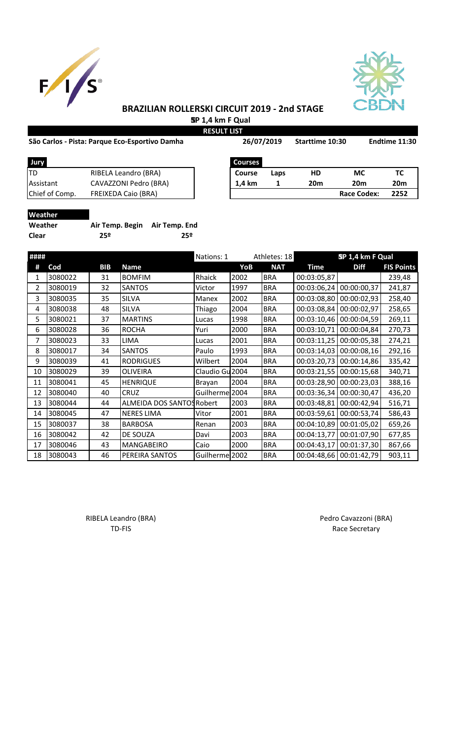



## **BRAZILIAN ROLLERSKI CIRCUIT 2019 - 2nd STAGE SP 1,4 km F Qual**

**RESULT LIST**

## São Carlos - Pista: Parque Eco-Esportivo Damha **Sandia 26/07/2019** Starttime 10:30 Endtime 11:30

| São Carlos - Pista: Parque Eco-Esportivo Damha |                            | 26/07/2019     |      | Starttime 10:30 | Endtime 11:30      |                 |
|------------------------------------------------|----------------------------|----------------|------|-----------------|--------------------|-----------------|
| Jury                                           |                            | <b>Courses</b> |      |                 |                    |                 |
| TD                                             | RIBELA Leandro (BRA)       | <b>Course</b>  | Laps | HD              | <b>MC</b>          | ТC              |
| Assistant                                      | CAVAZZONI Pedro (BRA)      | 1.4 km         |      | 20 <sub>m</sub> | <b>20m</b>         | 20 <sub>m</sub> |
| Chief of Comp.                                 | <b>FREIXEDA Caio (BRA)</b> |                |      |                 | <b>Race Codex:</b> | 2252            |

**Weather**

| Weather | Air Temp. Begin Air Temp. End |     |
|---------|-------------------------------|-----|
| Clear   | 25º                           | 25º |

| ####           |         |            |                           | Nations: 1      |      | Athletes: 18 |             | SP 1,4 km F Qual        |                   |
|----------------|---------|------------|---------------------------|-----------------|------|--------------|-------------|-------------------------|-------------------|
| #              | Cod     | <b>BIB</b> | Name                      |                 | YoB  | <b>NAT</b>   | <b>Time</b> | <b>Diff</b>             | <b>FIS Points</b> |
| 1              | 3080022 | 31         | <b>BOMFIM</b>             | Rhaick          | 2002 | <b>BRA</b>   | 00:03:05,87 |                         | 239,48            |
| $\overline{2}$ | 3080019 | 32         | <b>SANTOS</b>             | Victor          | 1997 | <b>BRA</b>   | 00:03:06,24 | 00:00:00,37             | 241,87            |
| 3              | 3080035 | 35         | <b>SILVA</b>              | Manex           | 2002 | <b>BRA</b>   | 00:03:08,80 | 00:00:02,93             | 258,40            |
| 4              | 3080038 | 48         | <b>SILVA</b>              | Thiago          | 2004 | <b>BRA</b>   | 00:03:08,84 | 00:00:02,97             | 258,65            |
| 5              | 3080021 | 37         | <b>MARTINS</b>            | Lucas           | 1998 | <b>BRA</b>   | 00:03:10,46 | 00:00:04,59             | 269,11            |
| 6              | 3080028 | 36         | <b>ROCHA</b>              | Yuri            | 2000 | <b>BRA</b>   | 00:03:10,71 | 00:00:04,84             | 270,73            |
| 7              | 3080023 | 33         | LIMA                      | Lucas           | 2001 | <b>BRA</b>   | 00:03:11,25 | 00:00:05,38             | 274,21            |
| 8              | 3080017 | 34         | <b>SANTOS</b>             | Paulo           | 1993 | <b>BRA</b>   | 00:03:14,03 | 00:00:08,16             | 292,16            |
| 9              | 3080039 | 41         | <b>RODRIGUES</b>          | Wilbert         | 2004 | <b>BRA</b>   | 00:03:20,73 | 00:00:14,86             | 335,42            |
| 10             | 3080029 | 39         | <b>OLIVEIRA</b>           | Claudio Gu 2004 |      | <b>BRA</b>   | 00:03:21,55 | 00:00:15,68             | 340,71            |
| 11             | 3080041 | 45         | <b>HENRIQUE</b>           | Brayan          | 2004 | <b>BRA</b>   | 00:03:28,90 | 00:00:23,03             | 388,16            |
| 12             | 3080040 | 40         | <b>CRUZ</b>               | Guilherme 2004  |      | <b>BRA</b>   | 00:03:36,34 | 00:00:30,47             | 436,20            |
| 13             | 3080044 | 44         | ALMEIDA DOS SANTOS Robert |                 | 2003 | <b>BRA</b>   | 00:03:48,81 | 00:00:42,94             | 516,71            |
| 14             | 3080045 | 47         | <b>NERES LIMA</b>         | Vitor           | 2001 | <b>BRA</b>   | 00:03:59,61 | 00:00:53,74             | 586,43            |
| 15             | 3080037 | 38         | <b>BARBOSA</b>            | Renan           | 2003 | <b>BRA</b>   | 00:04:10,89 | 00:01:05,02             | 659,26            |
| 16             | 3080042 | 42         | DE SOUZA                  | Davi            | 2003 | <b>BRA</b>   | 00:04:13,77 | 00:01:07,90             | 677,85            |
| 17             | 3080046 | 43         | MANGABEIRO                | Caio            | 2000 | <b>BRA</b>   | 00:04:43,17 | 00:01:37,30             | 867,66            |
| 18             | 3080043 | 46         | PEREIRA SANTOS            | Guilherme 2002  |      | <b>BRA</b>   |             | 00:04:48,66 00:01:42,79 | 903,11            |

RIBELA Leandro (BRA) **Pedro Cavazzoni** (BRA)

TD-FIS Race Secretary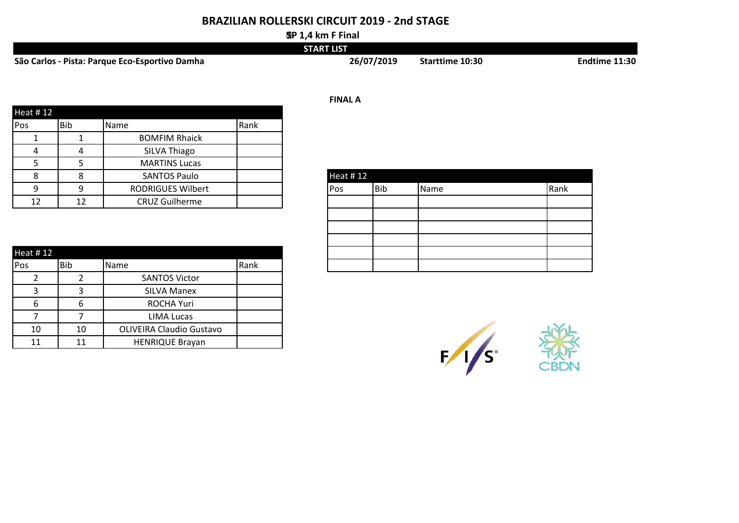## **BRAZILIAN ROLLERSKI CIRCUIT 2019 - 2nd STAGE**

#### **SP 1,4 km F Final**

|                                                | <b>START LIST</b> |                        |                      |
|------------------------------------------------|-------------------|------------------------|----------------------|
| São Carlos - Pista: Parque Eco-Esportivo Damha | 26/07/2019        | <b>Starttime 10:30</b> | <b>Endtime 11:30</b> |

|                 |                |                          |      | <b>FINAL A</b>                     |
|-----------------|----------------|--------------------------|------|------------------------------------|
| <b>Heat #12</b> |                |                          |      |                                    |
| <b>Pos</b>      | <b>Bib</b>     | Name                     | Rank |                                    |
|                 |                | <b>BOMFIM Rhaick</b>     |      |                                    |
|                 | $\overline{A}$ | SILVA Thiago             |      |                                    |
|                 |                | <b>MARTINS Lucas</b>     |      |                                    |
|                 |                | <b>SANTOS Paulo</b>      |      | <b>Heat #12</b>                    |
|                 | q              | <b>RODRIGUES Wilbert</b> |      | Rank<br><b>Bib</b><br>Name<br> Pos |
| 12              | 12             | <b>CRUZ Guilherme</b>    |      |                                    |

| Heat #12 |     |                                 |      |
|----------|-----|---------------------------------|------|
| Pos      | Bib | Name                            | Rank |
|          | 2   | <b>SANTOS Victor</b>            |      |
| 3        | 3   | <b>SILVA Manex</b>              |      |
| 6        | 6   | <b>ROCHA Yuri</b>               |      |
|          |     | <b>LIMA Lucas</b>               |      |
| 10       | 10  | <b>OLIVEIRA Claudio Gustavo</b> |      |
| 11       | 11  | <b>HENRIQUE Brayan</b>          |      |

| Heat $#12$ |            |      |      |  |  |  |  |
|------------|------------|------|------|--|--|--|--|
| Pos        | <b>Bib</b> | Name | Rank |  |  |  |  |
|            |            |      |      |  |  |  |  |
|            |            |      |      |  |  |  |  |
|            |            |      |      |  |  |  |  |
|            |            |      |      |  |  |  |  |
|            |            |      |      |  |  |  |  |
|            |            |      |      |  |  |  |  |

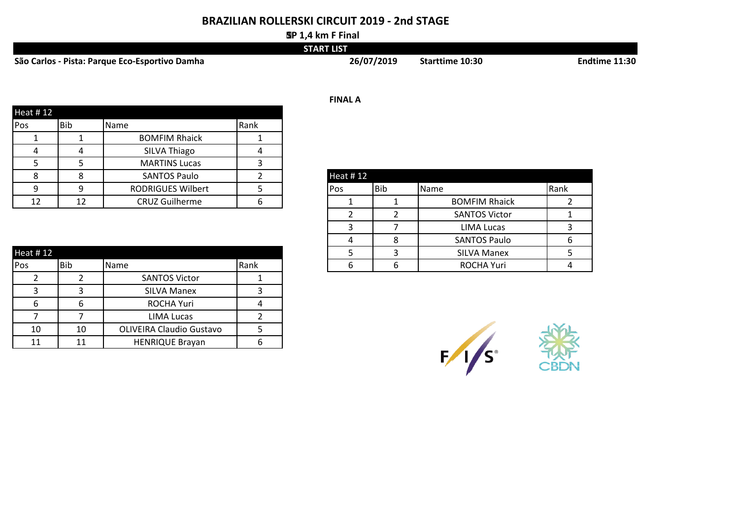## **BRAZILIAN ROLLERSKI CIRCUIT 2019 - 2nd STAGE**

#### **SP 1,4 km F Final**

|                                                | <b>START LIST</b> |                 |               |
|------------------------------------------------|-------------------|-----------------|---------------|
| São Carlos - Pista: Parque Eco-Esportivo Damha | 26/07/2019        | Starttime 10:30 | Endtime 11:30 |

|                 |     |                          |      | <b>FINAL A</b>             |
|-----------------|-----|--------------------------|------|----------------------------|
| <b>Heat #12</b> |     |                          |      |                            |
| <b>Pos</b>      | Bib | Name                     | Rank |                            |
|                 |     | <b>BOMFIM Rhaick</b>     |      |                            |
|                 |     | SILVA Thiago             | 4    |                            |
|                 |     | <b>MARTINS Lucas</b>     |      |                            |
|                 |     | <b>SANTOS Paulo</b>      |      | <b>Heat #12</b>            |
|                 |     | <b>RODRIGUES Wilbert</b> |      | Rank<br>Bib<br>Name<br>Pos |
| 12              | 12  | <b>CRUZ Guilherme</b>    |      | <b>BOMFIM Rhaick</b>       |

10 10 OLIVEIRA Claudio Gustavo 5 11 | 11 | HENRIQUE Brayan | 6

| ∸∸        | ∸∸         | <b>CITLE ORITICITILE</b> | ັບ   |   | <b>DUIVIL IIVI INIGIUN</b> |  |
|-----------|------------|--------------------------|------|---|----------------------------|--|
|           |            |                          |      |   | <b>SANTOS Victor</b>       |  |
|           |            |                          |      |   | LIMA Lucas                 |  |
|           |            |                          |      | 4 | <b>SANTOS Paulo</b>        |  |
| Heat # 12 |            |                          |      |   | <b>SILVA Manex</b>         |  |
| Pos       | <b>Bib</b> | Name                     | Rank | b | <b>ROCHA Yuri</b>          |  |
|           |            | <b>SANTOS Victor</b>     |      |   |                            |  |
|           |            | <b>SILVA Manex</b>       |      |   |                            |  |
| 6         | 6          | ROCHA Yuri               | Д    |   |                            |  |
|           |            | LIMA Lucas               |      |   |                            |  |

| 4      | 4   | SILVA Injago             | 4 |          |            |                      |      |
|--------|-----|--------------------------|---|----------|------------|----------------------|------|
| 5      |     | <b>MARTINS Lucas</b>     |   |          |            |                      |      |
| 8      |     | <b>SANTOS Paulo</b>      |   | Heat #12 |            |                      |      |
| 9      |     | <b>RODRIGUES Wilbert</b> |   | IPos.    | <b>Bib</b> | Name                 | Rank |
| 12     | 12  | <b>CRUZ Guilherme</b>    |   |          |            | <b>BOMFIM Rhaick</b> |      |
|        |     |                          |   |          |            | <b>SANTOS Victor</b> |      |
|        |     |                          |   |          |            | <b>LIMA Lucas</b>    |      |
|        |     |                          |   | 4        | 8          | <b>SANTOS Paulo</b>  |      |
| t # 12 |     |                          |   |          |            | <b>SILVA Manex</b>   |      |
|        | In: | $N_{max}$                | D |          |            | DOCIIAV              |      |